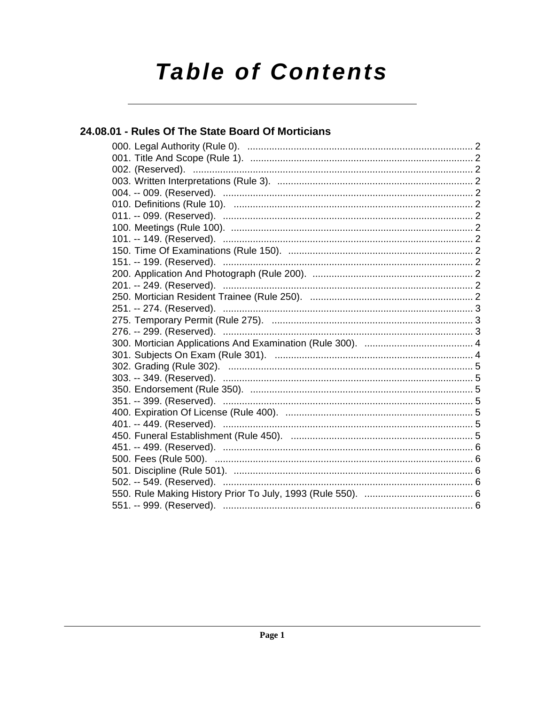# **Table of Contents**

# 24.08.01 - Rules Of The State Board Of Morticians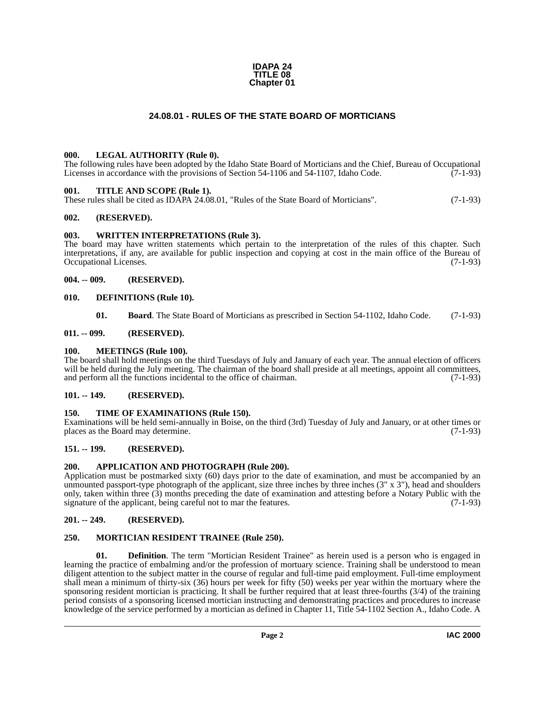#### **IDAPA 24 TITLE 08 Chapter 01**

#### **24.08.01 - RULES OF THE STATE BOARD OF MORTICIANS**

#### <span id="page-1-18"></span><span id="page-1-1"></span><span id="page-1-0"></span>**000. LEGAL AUTHORITY (Rule 0).**

The following rules have been adopted by the Idaho State Board of Morticians and the Chief, Bureau of Occupational Licenses in accordance with the provisions of Section 54-1106 and 54-1107, Idaho Code. (7-1-93)

#### <span id="page-1-22"></span><span id="page-1-2"></span>**001. TITLE AND SCOPE (Rule 1).**

These rules shall be cited as IDAPA 24.08.01, "Rules of the State Board of Morticians". (7-1-93)

#### <span id="page-1-3"></span>**002. (RESERVED).**

#### <span id="page-1-23"></span><span id="page-1-4"></span>**003. WRITTEN INTERPRETATIONS (Rule 3).**

The board may have written statements which pertain to the interpretation of the rules of this chapter. Such interpretations, if any, are available for public inspection and copying at cost in the main office of the Bureau of Occupational Licenses. (7-1-93) Occupational Licenses.

#### <span id="page-1-5"></span>**004. -- 009. (RESERVED).**

#### <span id="page-1-6"></span>**010. DEFINITIONS (Rule 10).**

<span id="page-1-19"></span><span id="page-1-17"></span><span id="page-1-16"></span>**01. Board**. The State Board of Morticians as prescribed in Section 54-1102, Idaho Code. (7-1-93)

#### <span id="page-1-7"></span>**011. -- 099. (RESERVED).**

#### <span id="page-1-8"></span>**100. MEETINGS (Rule 100).**

The board shall hold meetings on the third Tuesdays of July and January of each year. The annual election of officers will be held during the July meeting. The chairman of the board shall preside at all meetings, appoint all committees, and perform all the functions incidental to the office of chairman. (7-1-93)

#### <span id="page-1-9"></span>**101. -- 149. (RESERVED).**

#### <span id="page-1-21"></span><span id="page-1-10"></span>**150. TIME OF EXAMINATIONS (Rule 150).**

Examinations will be held semi-annually in Boise, on the third (3rd) Tuesday of July and January, or at other times or places as the Board may determine.

#### <span id="page-1-11"></span>**151. -- 199. (RESERVED).**

#### <span id="page-1-15"></span><span id="page-1-12"></span>**200. APPLICATION AND PHOTOGRAPH (Rule 200).**

Application must be postmarked sixty (60) days prior to the date of examination, and must be accompanied by an unmounted passport-type photograph of the applicant, size three inches by three inches  $(3'' \times 3'')$ , head and shoulders only, taken within three (3) months preceding the date of examination and attesting before a Notary Public with the signature of the applicant, being careful not to mar the features. (7-1-93)

#### <span id="page-1-13"></span>**201. -- 249. (RESERVED).**

#### <span id="page-1-20"></span><span id="page-1-14"></span>**250. MORTICIAN RESIDENT TRAINEE (Rule 250).**

**01. Definition**. The term "Mortician Resident Trainee" as herein used is a person who is engaged in learning the practice of embalming and/or the profession of mortuary science. Training shall be understood to mean diligent attention to the subject matter in the course of regular and full-time paid employment. Full-time employment shall mean a minimum of thirty-six (36) hours per week for fifty (50) weeks per year within the mortuary where the sponsoring resident mortician is practicing. It shall be further required that at least three-fourths (3/4) of the training period consists of a sponsoring licensed mortician instructing and demonstrating practices and procedures to increase knowledge of the service performed by a mortician as defined in Chapter 11, Title 54-1102 Section A., Idaho Code. A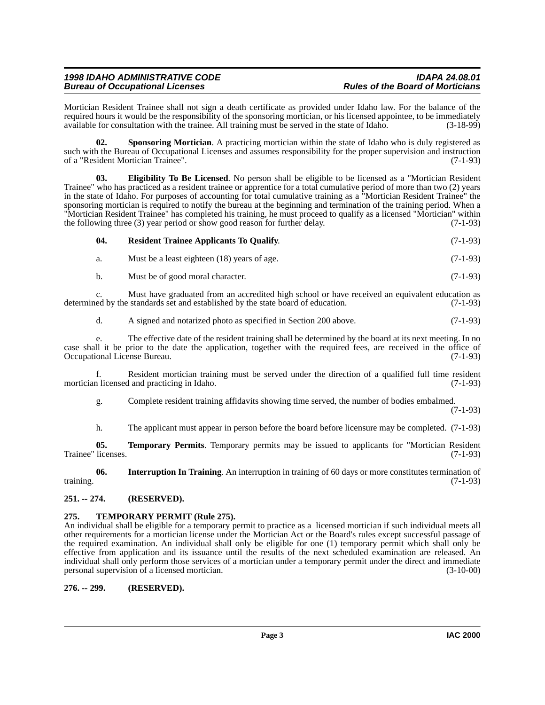### *1998 IDAHO ADMINISTRATIVE CODE IDAPA 24.08.01* **Bureau of Occupational Licenses**

Mortician Resident Trainee shall not sign a death certificate as provided under Idaho law. For the balance of the required hours it would be the responsibility of the sponsoring mortician, or his licensed appointee, to be immediately available for consultation with the trainee. All training must be served in the state of Idaho. (3-18-99)

<span id="page-2-6"></span>**02.** Sponsoring Mortician. A practicing mortician within the state of Idaho who is duly registered as such with the Bureau of Occupational Licenses and assumes responsibility for the proper supervision and instruction<br>of a "Resident Mortician Trainee". (7-1-93) of a "Resident Mortician Trainee".

<span id="page-2-3"></span>**03. Eligibility To Be Licensed**. No person shall be eligible to be licensed as a "Mortician Resident Trainee" who has practiced as a resident trainee or apprentice for a total cumulative period of more than two (2) years in the state of Idaho. For purposes of accounting for total cumulative training as a "Mortician Resident Trainee" the sponsoring mortician is required to notify the bureau at the beginning and termination of the training period. When a "Mortician Resident Trainee" has completed his training, he must proceed to qualify as a licensed "Mortician" within the following three (3) year period or show good reason for further delay. (7-1-93)

#### <span id="page-2-5"></span>**04. Resident Trainee Applicants To Qualify**. (7-1-93)

a. Must be a least eighteen (18) years of age. (7-1-93)

b. Must be of good moral character. (7-1-93)

c. Must have graduated from an accredited high school or have received an equivalent education as ed by the standards set and established by the state board of education. (7-1-93) determined by the standards set and established by the state board of education.

d. A signed and notarized photo as specified in Section 200 above. (7-1-93)

e. The effective date of the resident training shall be determined by the board at its next meeting. In no case shall it be prior to the date the application, together with the required fees, are received in the office of Occupational License Bureau. (7-1-93) Occupational License Bureau.

f. Resident mortician training must be served under the direction of a qualified full time resident mortician licensed and practicing in Idaho. (7-1-93)

g. Complete resident training affidavits showing time served, the number of bodies embalmed.

(7-1-93)

<span id="page-2-8"></span><span id="page-2-4"></span>h. The applicant must appear in person before the board before licensure may be completed. (7-1-93)

**05. Temporary Permits**. Temporary permits may be issued to applicants for "Mortician Resident licenses. (7-1-93) Trainee" licenses.

**06. Interruption In Training**. An interruption in training of 60 days or more constitutes termination of training. (7-1-93)

#### <span id="page-2-0"></span>**251. -- 274. (RESERVED).**

## <span id="page-2-7"></span><span id="page-2-1"></span>**275. TEMPORARY PERMIT (Rule 275).**

An individual shall be eligible for a temporary permit to practice as a licensed mortician if such individual meets all other requirements for a mortician license under the Mortician Act or the Board's rules except successful passage of the required examination. An individual shall only be eligible for one (1) temporary permit which shall only be effective from application and its issuance until the results of the next scheduled examination are released. An individual shall only perform those services of a mortician under a temporary permit under the direct and immediate personal supervision of a licensed mortician. (3-10-00)

#### <span id="page-2-2"></span>**276. -- 299. (RESERVED).**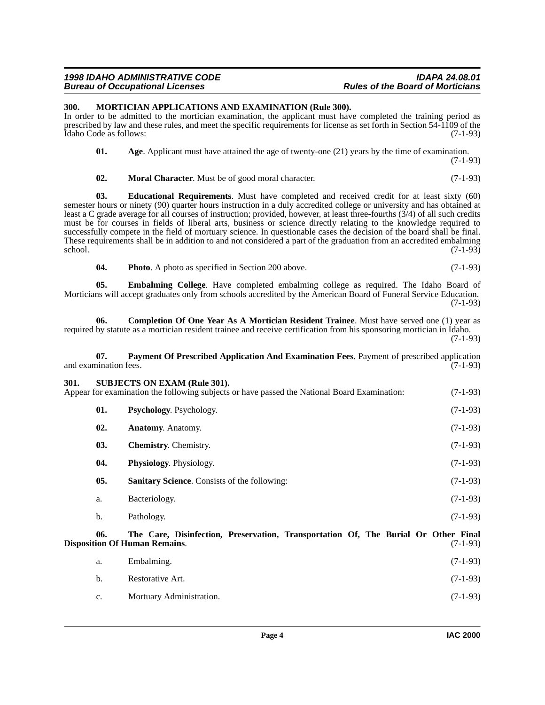#### *1998 IDAHO ADMINISTRATIVE CODE IDAPA 24.08.01* **Bureau of Occupational Licenses**

#### <span id="page-3-9"></span><span id="page-3-0"></span>**300. MORTICIAN APPLICATIONS AND EXAMINATION (Rule 300).**

In order to be admitted to the mortician examination, the applicant must have completed the training period as prescribed by law and these rules, and meet the specific requirements for license as set forth in Section 54-1109 of the Idaho Code as follows: (7-1-93) Idaho Code as follows:

<span id="page-3-2"></span>

| 01. | Age. Applicant must have attained the age of twenty-one $(21)$ years by the time of examination. |            |
|-----|--------------------------------------------------------------------------------------------------|------------|
|     |                                                                                                  | $(7-1-93)$ |

<span id="page-3-8"></span><span id="page-3-6"></span>**02. Moral Character**. Must be of good moral character. (7-1-93)

**03. Educational Requirements**. Must have completed and received credit for at least sixty (60) semester hours or ninety (90) quarter hours instruction in a duly accredited college or university and has obtained at least a C grade average for all courses of instruction; provided, however, at least three-fourths (3/4) of all such credits must be for courses in fields of liberal arts, business or science directly relating to the knowledge required to successfully compete in the field of mortuary science. In questionable cases the decision of the board shall be final. These requirements shall be in addition to and not considered a part of the graduation from an accredited embalming school. (7-1-93)  $\frac{1}{(7-1-93)}$  (7-1-93)

<span id="page-3-11"></span><span id="page-3-7"></span><span id="page-3-5"></span>**04.** Photo A photo as specified in Section 200 above. (7-1-93)

**05. Embalming College**. Have completed embalming college as required. The Idaho Board of Morticians will accept graduates only from schools accredited by the American Board of Funeral Service Education. (7-1-93)

**06.** Completion Of One Year As A Mortician Resident Trainee. Must have served one (1) year as required by statute as a mortician resident trainee and receive certification from his sponsoring mortician in Idaho. (7-1-93)

#### <span id="page-3-10"></span>**07. Payment Of Prescribed Application And Examination Fees**. Payment of prescribed application and examination fees. (7-1-93)

<span id="page-3-15"></span><span id="page-3-13"></span><span id="page-3-12"></span><span id="page-3-4"></span><span id="page-3-3"></span><span id="page-3-1"></span>

| 301. |     | <b>SUBJECTS ON EXAM (Rule 301).</b><br>Appear for examination the following subjects or have passed the National Board Examination: | $(7-1-93)$ |
|------|-----|-------------------------------------------------------------------------------------------------------------------------------------|------------|
|      | 01. | <b>Psychology.</b> Psychology.                                                                                                      | $(7-1-93)$ |
|      | 02. | <b>Anatomy.</b> Anatomy.                                                                                                            | $(7-1-93)$ |
|      | 03. | <b>Chemistry.</b> Chemistry.                                                                                                        | $(7-1-93)$ |
|      | 04. | <b>Physiology.</b> Physiology.                                                                                                      | $(7-1-93)$ |
|      | 05. | <b>Sanitary Science.</b> Consists of the following:                                                                                 | $(7-1-93)$ |
|      | a.  | Bacteriology.                                                                                                                       | $(7-1-93)$ |
|      | b.  | Pathology.                                                                                                                          | $(7-1-93)$ |
|      |     |                                                                                                                                     |            |

<span id="page-3-14"></span>**06. The Care, Disinfection, Preservation, Transportation Of, The Burial Or Other Final Disposition Of Human Remains.** 

<span id="page-3-16"></span>

| а.          | Embalming.               | $(7-1-93)$ |
|-------------|--------------------------|------------|
| b.          | Restorative Art.         | $(7-1-93)$ |
| $c_{\cdot}$ | Mortuary Administration. | $(7-1-93)$ |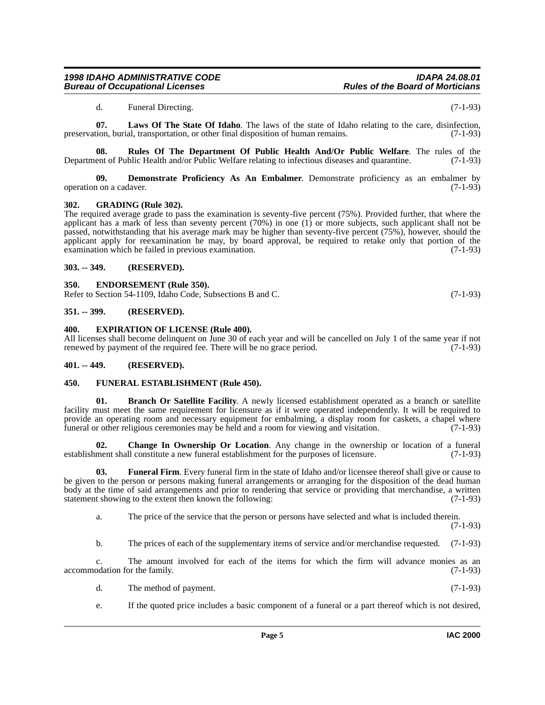#### *1998 IDAHO ADMINISTRATIVE CODE IDAPA 24.08.01 Bureau of Occupational Licenses*

<span id="page-4-16"></span><span id="page-4-15"></span>d. Funeral Directing. (7-1-93)

**07. Laws Of The State Of Idaho**. The laws of the state of Idaho relating to the care, disinfection, preservation, burial, transportation, or other final disposition of human remains. (7-1-93)

**08.** Rules Of The Department Of Public Health And/Or Public Welfare. The rules of the ent of Public Health and/or Public Welfare relating to infectious diseases and quarantine. (7-1-93) Department of Public Health and/or Public Welfare relating to infectious diseases and quarantine.

<span id="page-4-9"></span>**09. Demonstrate Proficiency As An Embalmer**. Demonstrate proficiency as an embalmer by operation on a cadaver. (7-1-93)

#### <span id="page-4-14"></span><span id="page-4-0"></span>**302. GRADING (Rule 302).**

The required average grade to pass the examination is seventy-five percent (75%). Provided further, that where the applicant has a mark of less than seventy percent (70%) in one (1) or more subjects, such applicant shall not be passed, notwithstanding that his average mark may be higher than seventy-five percent (75%), however, should the applicant apply for reexamination he may, by board approval, be required to retake only that portion of the examination which he failed in previous examination.  $(7-1-93)$ examination which he failed in previous examination.

#### <span id="page-4-1"></span>**303. -- 349. (RESERVED).**

#### <span id="page-4-10"></span><span id="page-4-2"></span>**350. ENDORSEMENT (Rule 350).**

Refer to Section 54-1109, Idaho Code, Subsections B and C. (7-1-93)

#### <span id="page-4-3"></span>**351. -- 399. (RESERVED).**

#### <span id="page-4-11"></span><span id="page-4-4"></span>**400. EXPIRATION OF LICENSE (Rule 400).**

All licenses shall become delinquent on June 30 of each year and will be cancelled on July 1 of the same year if not renewed by payment of the required fee. There will be no grace period. (7-1-93) renewed by payment of the required fee. There will be no grace period.

#### <span id="page-4-5"></span>**401. -- 449. (RESERVED).**

#### <span id="page-4-12"></span><span id="page-4-6"></span>**450. FUNERAL ESTABLISHMENT (Rule 450).**

<span id="page-4-7"></span>**01. Branch Or Satellite Facility**. A newly licensed establishment operated as a branch or satellite facility must meet the same requirement for licensure as if it were operated independently. It will be required to provide an operating room and necessary equipment for embalming, a display room for caskets, a chapel where funeral or other religious ceremonies may be held and a room for viewing and visitation. (7-1-93)

<span id="page-4-8"></span>**02.** Change In Ownership Or Location. Any change in the ownership or location of a funeral ment shall constitute a new funeral establishment for the purposes of licensure. (7-1-93) establishment shall constitute a new funeral establishment for the purposes of licensure.

**03. Funeral Firm**. Every funeral firm in the state of Idaho and/or licensee thereof shall give or cause to be given to the person or persons making funeral arrangements or arranging for the disposition of the dead human body at the time of said arrangements and prior to rendering that service or providing that merchandise, a written statement showing to the extent then known the following: (7-1-93)

<span id="page-4-13"></span>a. The price of the service that the person or persons have selected and what is included therein.

(7-1-93)

b. The prices of each of the supplementary items of service and/or merchandise requested. (7-1-93)

c. The amount involved for each of the items for which the firm will advance monies as an accommodation for the family. (7-1-93)

- d. The method of payment. (7-1-93)
- e. If the quoted price includes a basic component of a funeral or a part thereof which is not desired,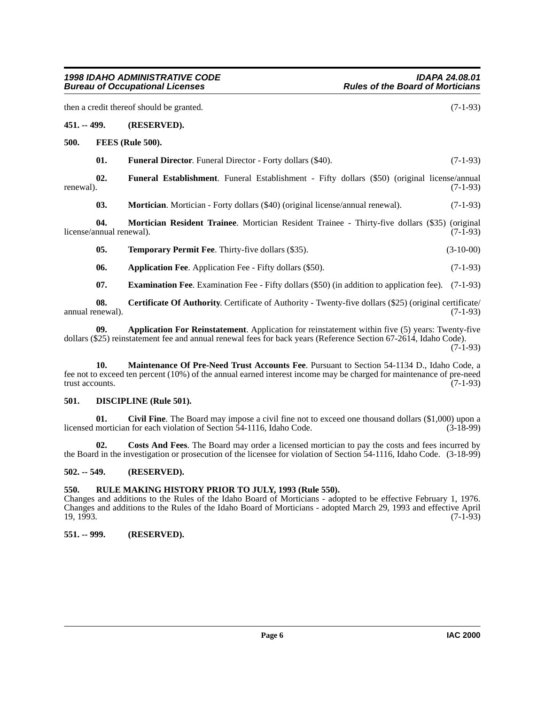<span id="page-5-18"></span><span id="page-5-17"></span><span id="page-5-15"></span><span id="page-5-14"></span><span id="page-5-13"></span><span id="page-5-1"></span><span id="page-5-0"></span>**451. -- 499. (RESERVED). 500. FEES (Rule 500). 01.** Funeral Director. Funeral Director - Forty dollars (\$40). (7-1-93) **02. Funeral Establishment**. Funeral Establishment - Fifty dollars (\$50) (original license/annual renewal).  $(7-1-93)$ **03. Mortician**. Mortician - Forty dollars (\$40) (original license/annual renewal). (7-1-93) **04. Mortician Resident Trainee**. Mortician Resident Trainee - Thirty-five dollars (\$35) (original license/annual renewal). (7-1-93) **05. Temporary Permit Fee**. Thirty-five dollars (\$35). (3-10-00) **06.** Application Fee. Application Fee - Fifty dollars (\$50). (7-1-93) **07. Examination Fee**. Examination Fee - Fifty dollars (\$50) (in addition to application fee). (7-1-93) **08. Certificate Of Authority**. Certificate of Authority - Twenty-five dollars (\$25) (original certificate/ annual renewal). (7-1-93)

<span id="page-5-20"></span><span id="page-5-12"></span><span id="page-5-8"></span><span id="page-5-7"></span><span id="page-5-6"></span>**09. Application For Reinstatement**. Application for reinstatement within five (5) years: Twenty-five dollars (\$25) reinstatement fee and annual renewal fees for back years (Reference Section 67-2614, Idaho Code).  $(7-1-93)$ 

<span id="page-5-16"></span>**10. Maintenance Of Pre-Need Trust Accounts Fee**. Pursuant to Section 54-1134 D., Idaho Code, a fee not to exceed ten percent (10%) of the annual earned interest income may be charged for maintenance of pre-need trust accounts. (7-1-93)

#### <span id="page-5-11"></span><span id="page-5-2"></span>**501. DISCIPLINE (Rule 501).**

<span id="page-5-9"></span>**01.** Civil Fine. The Board may impose a civil fine not to exceed one thousand dollars (\$1,000) upon a mortician for each violation of Section 54-1116. Idaho Code. (3-18-99) licensed mortician for each violation of Section  $\bar{5}4$ -1116, Idaho Code.

<span id="page-5-10"></span>**02. Costs And Fees**. The Board may order a licensed mortician to pay the costs and fees incurred by the Board in the investigation or prosecution of the licensee for violation of Section 54-1116, Idaho Code. (3-18-99)

#### <span id="page-5-3"></span>**502. -- 549. (RESERVED).**

#### <span id="page-5-19"></span><span id="page-5-4"></span>**550. RULE MAKING HISTORY PRIOR TO JULY, 1993 (Rule 550).**

Changes and additions to the Rules of the Idaho Board of Morticians - adopted to be effective February 1, 1976. Changes and additions to the Rules of the Idaho Board of Morticians - adopted March 29, 1993 and effective April  $19, 1993.$  (7-1-93)

#### <span id="page-5-5"></span>**551. -- 999. (RESERVED).**

then a credit thereof should be granted. (7-1-93)